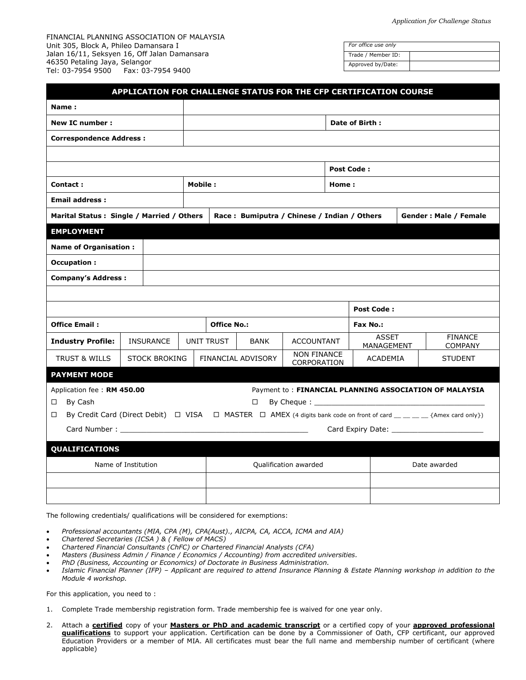FINANCIAL PLANNING ASSOCIATION OF MALAYSIA Unit 305, Block A, Phileo Damansara I Jalan 16/11, Seksyen 16, Off Jalan Damansara 46350 Petaling Jaya, Selangor Tel: 03-7954 9500 Fax: 03-7954 9400

| For office use only |  |
|---------------------|--|
| Trade / Member ID:  |  |
| Approved by/Date:   |  |

| APPLICATION FOR CHALLENGE STATUS FOR THE CFP CERTIFICATION COURSE                                                                                |                      |  |                       |                                             |                                   |  |                            |  |                                                        |  |  |
|--------------------------------------------------------------------------------------------------------------------------------------------------|----------------------|--|-----------------------|---------------------------------------------|-----------------------------------|--|----------------------------|--|--------------------------------------------------------|--|--|
| Name:                                                                                                                                            |                      |  |                       |                                             |                                   |  |                            |  |                                                        |  |  |
| New IC number:                                                                                                                                   |                      |  | Date of Birth:        |                                             |                                   |  |                            |  |                                                        |  |  |
| <b>Correspondence Address:</b>                                                                                                                   |                      |  |                       |                                             |                                   |  |                            |  |                                                        |  |  |
|                                                                                                                                                  |                      |  |                       |                                             |                                   |  |                            |  |                                                        |  |  |
|                                                                                                                                                  |                      |  | <b>Post Code:</b>     |                                             |                                   |  |                            |  |                                                        |  |  |
| Contact:                                                                                                                                         |                      |  | Mobile :<br>Home:     |                                             |                                   |  |                            |  |                                                        |  |  |
| <b>Email address:</b>                                                                                                                            |                      |  |                       |                                             |                                   |  |                            |  |                                                        |  |  |
| Marital Status: Single / Married / Others                                                                                                        |                      |  |                       | Race: Bumiputra / Chinese / Indian / Others |                                   |  | Gender: Male / Female      |  |                                                        |  |  |
| <b>EMPLOYMENT</b>                                                                                                                                |                      |  |                       |                                             |                                   |  |                            |  |                                                        |  |  |
| <b>Name of Organisation:</b>                                                                                                                     |                      |  |                       |                                             |                                   |  |                            |  |                                                        |  |  |
| Occupation :                                                                                                                                     |                      |  |                       |                                             |                                   |  |                            |  |                                                        |  |  |
| <b>Company's Address:</b>                                                                                                                        |                      |  |                       |                                             |                                   |  |                            |  |                                                        |  |  |
|                                                                                                                                                  |                      |  |                       |                                             |                                   |  |                            |  |                                                        |  |  |
|                                                                                                                                                  |                      |  |                       |                                             |                                   |  | <b>Post Code:</b>          |  |                                                        |  |  |
| <b>Office Email:</b>                                                                                                                             |                      |  | <b>Office No.:</b>    |                                             |                                   |  | Fax No.:                   |  |                                                        |  |  |
| <b>Industry Profile:</b>                                                                                                                         | <b>INSURANCE</b>     |  | <b>UNIT TRUST</b>     | <b>BANK</b>                                 | <b>ACCOUNTANT</b>                 |  | <b>ASSET</b><br>MANAGEMENT |  | <b>FINANCE</b><br><b>COMPANY</b>                       |  |  |
| <b>TRUST &amp; WILLS</b>                                                                                                                         | <b>STOCK BROKING</b> |  |                       | FINANCIAL ADVISORY                          | <b>NON FINANCE</b><br>CORPORATION |  | <b>ACADEMIA</b>            |  | <b>STUDENT</b>                                         |  |  |
| <b>PAYMENT MODE</b>                                                                                                                              |                      |  |                       |                                             |                                   |  |                            |  |                                                        |  |  |
| Application fee: RM 450.00                                                                                                                       |                      |  |                       |                                             |                                   |  |                            |  | Payment to: FINANCIAL PLANNING ASSOCIATION OF MALAYSIA |  |  |
| By Cash<br>$\Box$                                                                                                                                | $\Box$               |  |                       |                                             |                                   |  |                            |  |                                                        |  |  |
| By Credit Card (Direct Debit) $\Box$ VISA $\Box$ MASTER $\Box$ AMEX (4 digits bank code on front of card $\Box \Box \Box$ {Amex card only})<br>□ |                      |  |                       |                                             |                                   |  |                            |  |                                                        |  |  |
|                                                                                                                                                  |                      |  |                       |                                             |                                   |  |                            |  |                                                        |  |  |
| <b>QUALIFICATIONS</b>                                                                                                                            |                      |  |                       |                                             |                                   |  |                            |  |                                                        |  |  |
| Name of Institution                                                                                                                              |                      |  | Qualification awarded |                                             | Date awarded                      |  |                            |  |                                                        |  |  |
|                                                                                                                                                  |                      |  |                       |                                             |                                   |  |                            |  |                                                        |  |  |
|                                                                                                                                                  |                      |  |                       |                                             |                                   |  |                            |  |                                                        |  |  |

The following credentials/ qualifications will be considered for exemptions:

- *Professional accountants (MIA, CPA (M), CPA(Aust)., AICPA, CA, ACCA, ICMA and AIA)*
- *Chartered Secretaries (ICSA ) & ( Fellow of MACS)*
- *Chartered Financial Consultants (ChFC) or Chartered Financial Analysts (CFA)*
- *Masters (Business Admin / Finance / Economics / Accounting) from accredited universities.*
- *PhD (Business, Accounting or Economics) of Doctorate in Business Administration.*
- *Islamic Financial Planner (IFP) – Applicant are required to attend Insurance Planning & Estate Planning workshop in addition to the Module 4 workshop.*

For this application, you need to :

- 1. Complete Trade membership registration form. Trade membership fee is waived for one year only.
- 2. Attach a **certified** copy of your **Masters or PhD and academic transcript** or a certified copy of your **approved professional qualifications** to support your application. Certification can be done by a Commissioner of Oath, CFP certificant, our approved Education Providers or a member of MIA. All certificates must bear the full name and membership number of certificant (where applicable)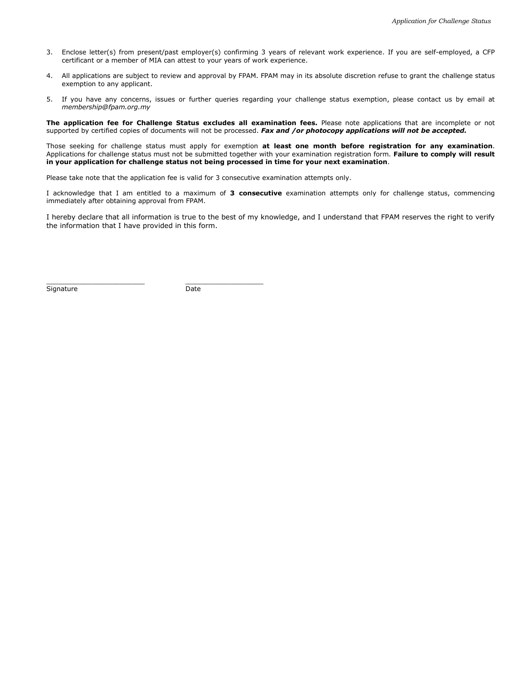- 3. Enclose letter(s) from present/past employer(s) confirming 3 years of relevant work experience. If you are self-employed, a CFP certificant or a member of MIA can attest to your years of work experience.
- 4. All applications are subject to review and approval by FPAM. FPAM may in its absolute discretion refuse to grant the challenge status exemption to any applicant.
- 5. If you have any concerns, issues or further queries regarding your challenge status exemption, please contact us by email at *membership@fpam.org.my*

**The application fee for Challenge Status excludes all examination fees.** Please note applications that are incomplete or not supported by certified copies of documents will not be processed. *Fax and /or photocopy applications will not be accepted.*

Those seeking for challenge status must apply for exemption **at least one month before registration for any examination**. Applications for challenge status must not be submitted together with your examination registration form. **Failure to comply will result in your application for challenge status not being processed in time for your next examination**.

Please take note that the application fee is valid for 3 consecutive examination attempts only.

I acknowledge that I am entitled to a maximum of **3 consecutive** examination attempts only for challenge status, commencing immediately after obtaining approval from FPAM.

I hereby declare that all information is true to the best of my knowledge, and I understand that FPAM reserves the right to verify the information that I have provided in this form.

Signature Date

\_\_\_\_\_\_\_\_\_\_\_\_\_\_\_\_\_\_\_\_\_\_\_\_ \_\_\_\_\_\_\_\_\_\_\_\_\_\_\_\_\_\_\_